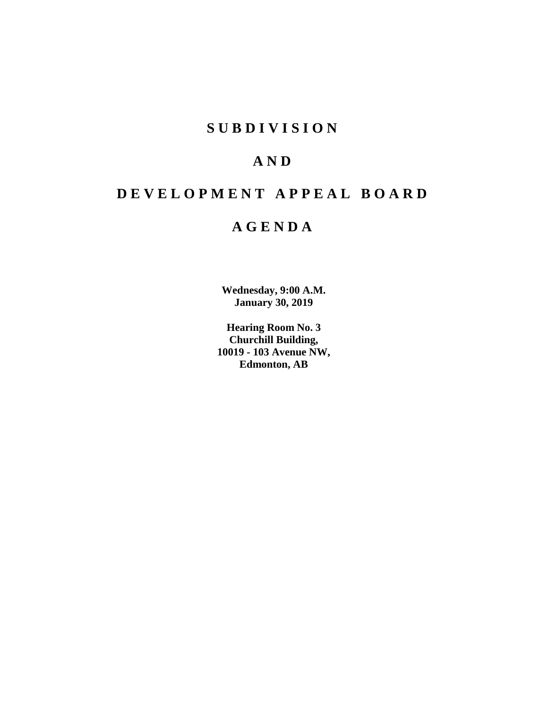# **S U B D I V I S I O N**

# **A N D**

# **D E V E L O P M E N T A P P E A L B O A R D**

# **A G E N D A**

**Wednesday, 9:00 A.M. January 30, 2019**

**Hearing Room No. 3 Churchill Building, 10019 - 103 Avenue NW, Edmonton, AB**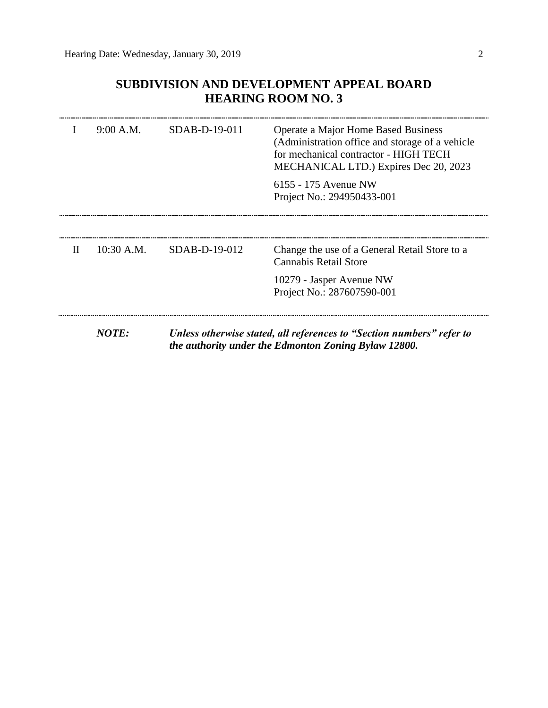# **SUBDIVISION AND DEVELOPMENT APPEAL BOARD HEARING ROOM NO. 3**

|   | 9:00 A.M.    | SDAB-D-19-011 | Operate a Major Home Based Business<br>(Administration office and storage of a vehicle<br>for mechanical contractor - HIGH TECH<br>MECHANICAL LTD.) Expires Dec 20, 2023 |
|---|--------------|---------------|--------------------------------------------------------------------------------------------------------------------------------------------------------------------------|
|   |              |               | 6155 - 175 Avenue NW<br>Project No.: 294950433-001                                                                                                                       |
|   |              |               |                                                                                                                                                                          |
| H | $10:30$ A.M. | SDAB-D-19-012 | Change the use of a General Retail Store to a<br>Cannabis Retail Store                                                                                                   |
|   |              |               | 10279 - Jasper Avenue NW<br>Project No.: 287607590-001                                                                                                                   |
|   | NOTE:        |               | Unless otherwise stated, all references to "Section numbers" refer to<br>the authority under the Edmonton Zoning Bylaw 12800.                                            |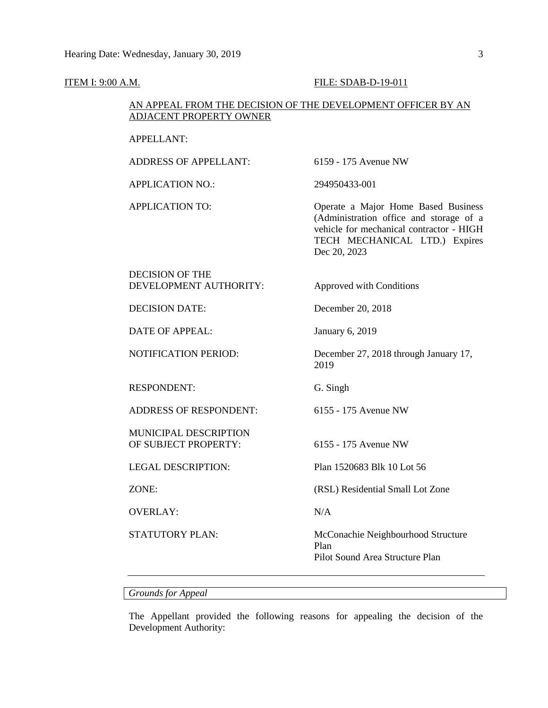# **ITEM I: 9:00 A.M. FILE: SDAB-D-19-011**

# AN APPEAL FROM THE DECISION OF THE DEVELOPMENT OFFICER BY AN ADJACENT PROPERTY OWNER

### APPELLANT:

ADDRESS OF APPELLANT: 6159 - 175 Avenue NW

APPLICATION NO.: 294950433-001

APPLICATION TO: Operate a Major Home Based Business (Administration office and storage of a vehicle for mechanical contractor - HIGH TECH MECHANICAL LTD.) Expires Dec 20, 2023

DECISION OF THE DEVELOPMENT AUTHORITY: Approved with Conditions

DATE OF APPEAL: January 6, 2019

RESPONDENT: G. Singh

ADDRESS OF RESPONDENT: 6155 - 175 Avenue NW

MUNICIPAL DESCRIPTION OF SUBJECT PROPERTY: 6155 - 175 Avenue NW

OVERLAY: N/A

DECISION DATE: December 20, 2018

NOTIFICATION PERIOD: December 27, 2018 through January 17, 2019

LEGAL DESCRIPTION: Plan 1520683 Blk 10 Lot 56

ZONE: (RSL) Residential Small Lot Zone

STATUTORY PLAN: McConachie Neighbourhood Structure Plan Pilot Sound Area Structure Plan

*Grounds for Appeal*

The Appellant provided the following reasons for appealing the decision of the Development Authority: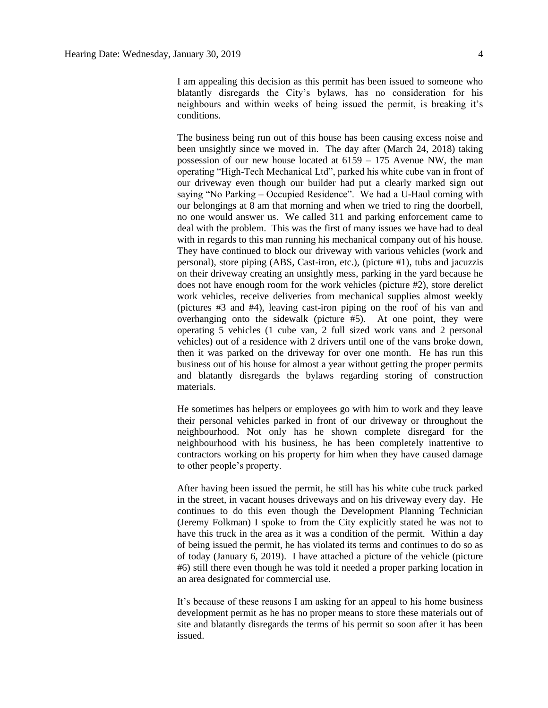I am appealing this decision as this permit has been issued to someone who blatantly disregards the City's bylaws, has no consideration for his neighbours and within weeks of being issued the permit, is breaking it's conditions.

The business being run out of this house has been causing excess noise and been unsightly since we moved in. The day after (March 24, 2018) taking possession of our new house located at 6159 – 175 Avenue NW, the man operating "High-Tech Mechanical Ltd", parked his white cube van in front of our driveway even though our builder had put a clearly marked sign out saying "No Parking – Occupied Residence". We had a U-Haul coming with our belongings at 8 am that morning and when we tried to ring the doorbell, no one would answer us. We called 311 and parking enforcement came to deal with the problem. This was the first of many issues we have had to deal with in regards to this man running his mechanical company out of his house. They have continued to block our driveway with various vehicles (work and personal), store piping (ABS, Cast-iron, etc.), (picture #1), tubs and jacuzzis on their driveway creating an unsightly mess, parking in the yard because he does not have enough room for the work vehicles (picture #2), store derelict work vehicles, receive deliveries from mechanical supplies almost weekly (pictures #3 and #4), leaving cast-iron piping on the roof of his van and overhanging onto the sidewalk (picture #5). At one point, they were operating 5 vehicles (1 cube van, 2 full sized work vans and 2 personal vehicles) out of a residence with 2 drivers until one of the vans broke down, then it was parked on the driveway for over one month. He has run this business out of his house for almost a year without getting the proper permits and blatantly disregards the bylaws regarding storing of construction materials.

He sometimes has helpers or employees go with him to work and they leave their personal vehicles parked in front of our driveway or throughout the neighbourhood. Not only has he shown complete disregard for the neighbourhood with his business, he has been completely inattentive to contractors working on his property for him when they have caused damage to other people's property.

After having been issued the permit, he still has his white cube truck parked in the street, in vacant houses driveways and on his driveway every day. He continues to do this even though the Development Planning Technician (Jeremy Folkman) I spoke to from the City explicitly stated he was not to have this truck in the area as it was a condition of the permit. Within a day of being issued the permit, he has violated its terms and continues to do so as of today (January 6, 2019). I have attached a picture of the vehicle (picture #6) still there even though he was told it needed a proper parking location in an area designated for commercial use.

It's because of these reasons I am asking for an appeal to his home business development permit as he has no proper means to store these materials out of site and blatantly disregards the terms of his permit so soon after it has been issued.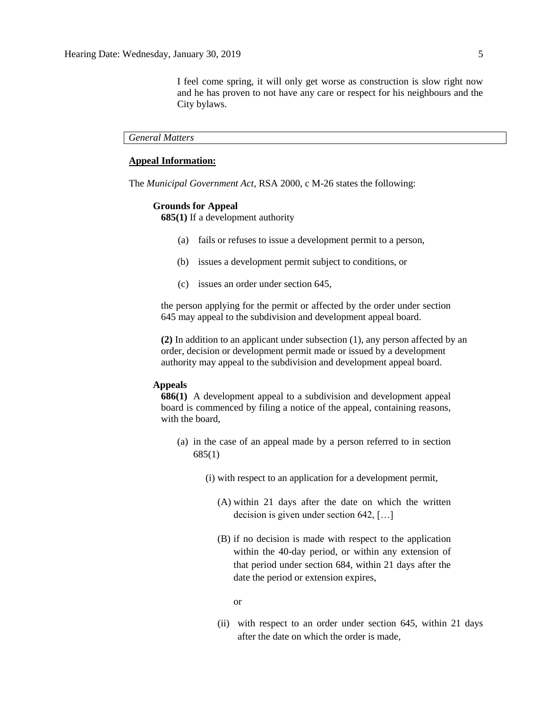I feel come spring, it will only get worse as construction is slow right now and he has proven to not have any care or respect for his neighbours and the City bylaws.

*General Matters*

# **Appeal Information:**

The *Municipal Government Act*, RSA 2000, c M-26 states the following:

### **Grounds for Appeal**

**685(1)** If a development authority

- (a) fails or refuses to issue a development permit to a person,
- (b) issues a development permit subject to conditions, or
- (c) issues an order under section 645,

the person applying for the permit or affected by the order under section 645 may appeal to the subdivision and development appeal board.

**(2)** In addition to an applicant under subsection (1), any person affected by an order, decision or development permit made or issued by a development authority may appeal to the subdivision and development appeal board.

# **Appeals**

**686(1)** A development appeal to a subdivision and development appeal board is commenced by filing a notice of the appeal, containing reasons, with the board,

- (a) in the case of an appeal made by a person referred to in section 685(1)
	- (i) with respect to an application for a development permit,
		- (A) within 21 days after the date on which the written decision is given under section 642, […]
		- (B) if no decision is made with respect to the application within the 40-day period, or within any extension of that period under section 684, within 21 days after the date the period or extension expires,

or

(ii) with respect to an order under section 645, within 21 days after the date on which the order is made,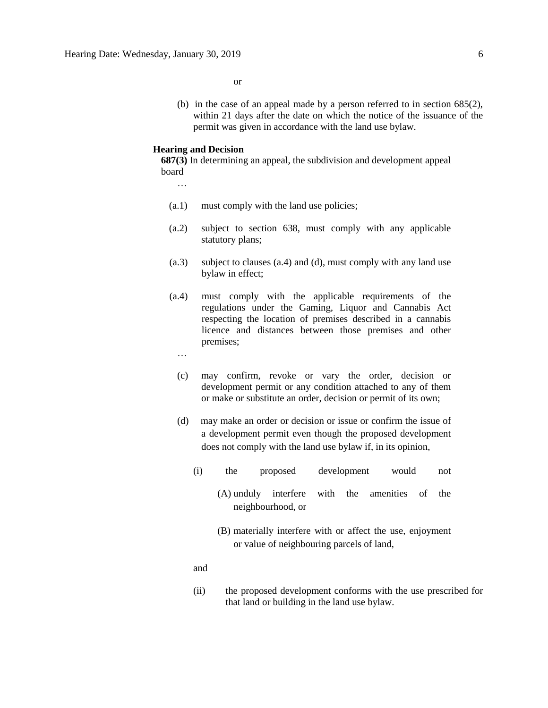or

(b) in the case of an appeal made by a person referred to in section 685(2), within 21 days after the date on which the notice of the issuance of the permit was given in accordance with the land use bylaw.

#### **Hearing and Decision**

**687(3)** In determining an appeal, the subdivision and development appeal board

…

- (a.1) must comply with the land use policies;
- (a.2) subject to section 638, must comply with any applicable statutory plans;
- (a.3) subject to clauses (a.4) and (d), must comply with any land use bylaw in effect;
- (a.4) must comply with the applicable requirements of the regulations under the Gaming, Liquor and Cannabis Act respecting the location of premises described in a cannabis licence and distances between those premises and other premises;
	- …
	- (c) may confirm, revoke or vary the order, decision or development permit or any condition attached to any of them or make or substitute an order, decision or permit of its own;
	- (d) may make an order or decision or issue or confirm the issue of a development permit even though the proposed development does not comply with the land use bylaw if, in its opinion,
		- (i) the proposed development would not
			- (A) unduly interfere with the amenities of the neighbourhood, or
			- (B) materially interfere with or affect the use, enjoyment or value of neighbouring parcels of land,

and

(ii) the proposed development conforms with the use prescribed for that land or building in the land use bylaw.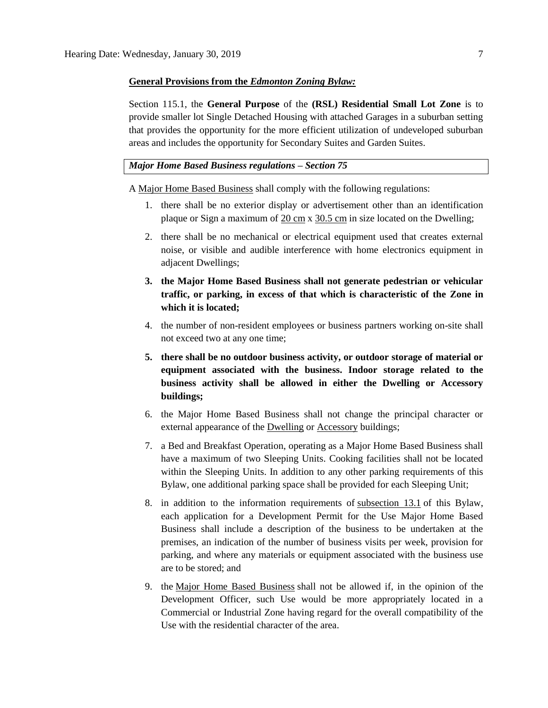#### **General Provisions from the** *Edmonton Zoning Bylaw:*

Section 115.1, the **General Purpose** of the **(RSL) Residential Small Lot Zone** is to provide smaller lot Single Detached Housing with attached Garages in a suburban setting that provides the opportunity for the more efficient utilization of undeveloped suburban areas and includes the opportunity for Secondary Suites and Garden Suites.

### *Major Home Based Business regulations – Section 75*

A [Major Home Based Business](javascript:void(0);) shall comply with the following regulations:

- 1. there shall be no exterior display or advertisement other than an identification plaque or Sign a maximum of 20 [cm](javascript:void(0);) x [30.5](javascript:void(0);) cm in size located on the Dwelling;
- 2. there shall be no mechanical or electrical equipment used that creates external noise, or visible and audible interference with home electronics equipment in adjacent Dwellings;
- **3. the Major Home Based Business shall not generate pedestrian or vehicular traffic, or parking, in excess of that which is characteristic of the Zone in which it is located;**
- 4. the number of non-resident employees or business partners working on-site shall not exceed two at any one time;
- **5. there shall be no outdoor business activity, or outdoor storage of material or equipment associated with the business. Indoor storage related to the business activity shall be allowed in either the Dwelling or Accessory buildings;**
- 6. the Major Home Based Business shall not change the principal character or external appearance of the [Dwelling](javascript:void(0);) or [Accessory](javascript:void(0);) buildings;
- 7. a Bed and Breakfast Operation, operating as a Major Home Based Business shall have a maximum of two Sleeping Units. Cooking facilities shall not be located within the Sleeping Units. In addition to any other parking requirements of this Bylaw, one additional parking space shall be provided for each Sleeping Unit;
- 8. in addition to the information requirements of [subsection 13.1](https://webdocs.edmonton.ca/InfraPlan/zoningbylaw/ZoningBylaw/Part1/Administrative/13__Development_Permit_Application.htm) of this Bylaw, each application for a Development Permit for the Use Major Home Based Business shall include a description of the business to be undertaken at the premises, an indication of the number of business visits per week, provision for parking, and where any materials or equipment associated with the business use are to be stored; and
- 9. the [Major Home Based Business](javascript:void(0);) shall not be allowed if, in the opinion of the Development Officer, such Use would be more appropriately located in a Commercial or Industrial Zone having regard for the overall compatibility of the Use with the residential character of the area.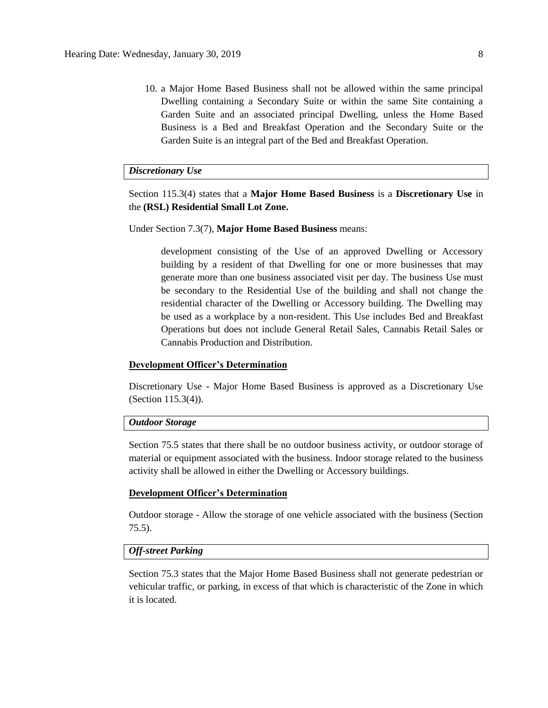10. a Major Home Based Business shall not be allowed within the same principal Dwelling containing a Secondary Suite or within the same Site containing a Garden Suite and an associated principal Dwelling, unless the Home Based Business is a Bed and Breakfast Operation and the Secondary Suite or the Garden Suite is an integral part of the Bed and Breakfast Operation.

### *Discretionary Use*

Section 115.3(4) states that a **Major Home Based Business** is a **Discretionary Use** in the **(RSL) Residential Small Lot Zone.**

Under Section 7.3(7), **Major Home Based Business** means:

development consisting of the Use of an approved Dwelling or Accessory building by a resident of that Dwelling for one or more businesses that may generate more than one business associated visit per day. The business Use must be secondary to the Residential Use of the building and shall not change the residential character of the Dwelling or Accessory building. The Dwelling may be used as a workplace by a non-resident. This Use includes Bed and Breakfast Operations but does not include General Retail Sales, Cannabis Retail Sales or Cannabis Production and Distribution.

### **Development Officer's Determination**

Discretionary Use - Major Home Based Business is approved as a Discretionary Use (Section 115.3(4)).

# *Outdoor Storage*

Section 75.5 states that there shall be no outdoor business activity, or outdoor storage of material or equipment associated with the business. Indoor storage related to the business activity shall be allowed in either the Dwelling or Accessory buildings.

#### **Development Officer's Determination**

Outdoor storage - Allow the storage of one vehicle associated with the business (Section 75.5).

# *Off-street Parking*

Section 75.3 states that the Major Home Based Business shall not generate pedestrian or vehicular traffic, or parking, in excess of that which is characteristic of the Zone in which it is located.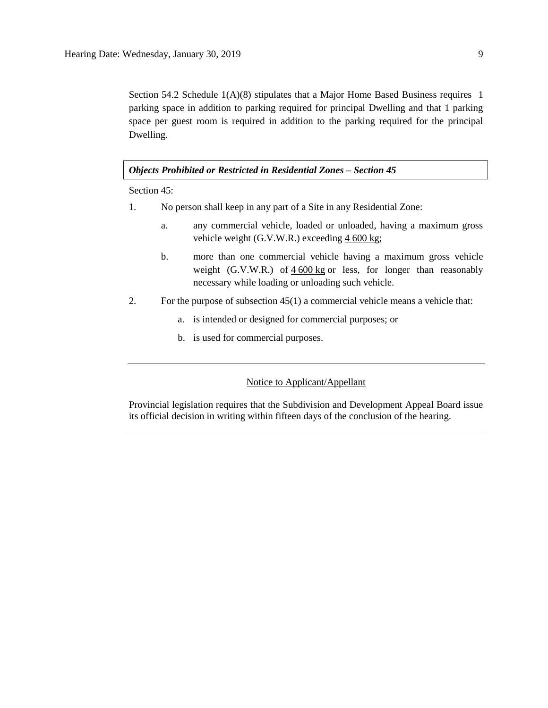Section 54.2 Schedule  $1(A)(8)$  stipulates that a Major Home Based Business requires 1 parking space in addition to parking required for principal Dwelling and that 1 parking space per guest room is required in addition to the parking required for the principal Dwelling.

# *Objects Prohibited or Restricted in Residential Zones – Section 45*

Section 45:

- 1. No person shall keep in any part of a Site in any Residential Zone:
	- a. any commercial vehicle, loaded or unloaded, having a maximum gross vehicle weight (G.V.W.R.) exceeding 4 [600](javascript:void(0);) kg;
	- b. more than one commercial vehicle having a maximum gross vehicle weight (G.V.W.R.) of  $4\,600 \text{ kg}$  $4\,600 \text{ kg}$  $4\,600 \text{ kg}$  or less, for longer than reasonably necessary while loading or unloading such vehicle.
- 2. For the purpose of subsection 45(1) a commercial vehicle means a vehicle that:
	- a. is intended or designed for commercial purposes; or
	- b. is used for commercial purposes.

# Notice to Applicant/Appellant

Provincial legislation requires that the Subdivision and Development Appeal Board issue its official decision in writing within fifteen days of the conclusion of the hearing.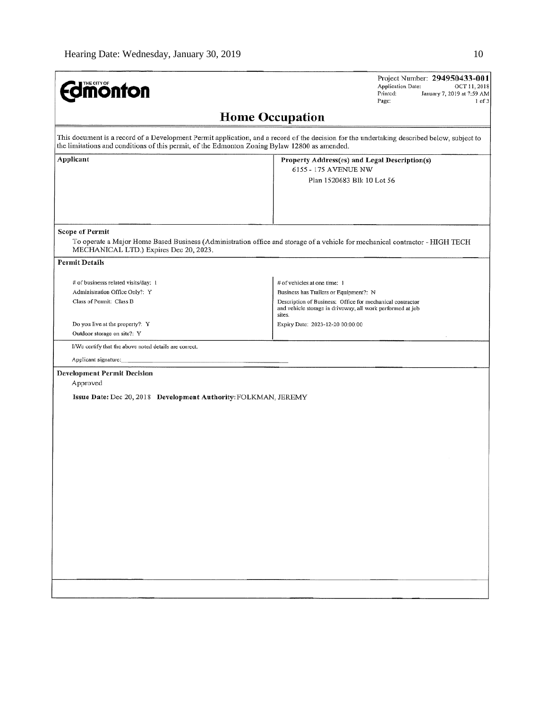| <b>Edmonton</b>                                                                                    | Project Number: 294950433-001<br><b>Application Date:</b><br>OCT 11, 2018<br>Printed:<br>January 7, 2019 at 7:59 AM<br>Page:<br>$1$ of $3$                                                        |
|----------------------------------------------------------------------------------------------------|---------------------------------------------------------------------------------------------------------------------------------------------------------------------------------------------------|
|                                                                                                    | <b>Home Occupation</b>                                                                                                                                                                            |
| the limitations and conditions of this permit, of the Edmonton Zoning Bylaw 12800 as amended.      | This document is a record of a Development Permit application, and a record of the decision for the undertaking described below, subject to                                                       |
| Applicant                                                                                          | Property Address(es) and Legal Description(s)<br>6155 - 175 AVENUE NW<br>Plan 1520683 Blk 10 Lot 56                                                                                               |
| <b>Scope of Permit</b><br>MECHANICAL LTD.) Expires Dec 20, 2023.                                   | To operate a Major Home Based Business (Administration office and storage of a vehicle for mechanical contractor - HIGH TECH                                                                      |
| <b>Permit Details</b>                                                                              |                                                                                                                                                                                                   |
| # of businesss related visits/day: 1<br>Administration Office Only?: Y<br>Class of Permit: Class B | # of vehicles at one time: 1<br>Business has Trailers or Equipment?: N<br>Description of Business: Office for mechanical contractor<br>and vehicle storage in driveway, all work performed at job |
| Do you live at the property?: Y<br>Outdoor storage on site?: Y                                     | sites.<br>Expiry Date: 2023-12-20 00:00:00                                                                                                                                                        |
| I/We certify that the above noted details are correct.<br>Applicant signature:                     |                                                                                                                                                                                                   |
| <b>Development Permit Decision</b><br>Approved                                                     |                                                                                                                                                                                                   |
| Issue Date: Dec 20, 2018 Development Authority: FOLKMAN, JEREMY                                    |                                                                                                                                                                                                   |
|                                                                                                    |                                                                                                                                                                                                   |
|                                                                                                    |                                                                                                                                                                                                   |
|                                                                                                    |                                                                                                                                                                                                   |
|                                                                                                    |                                                                                                                                                                                                   |
|                                                                                                    |                                                                                                                                                                                                   |
|                                                                                                    |                                                                                                                                                                                                   |
|                                                                                                    |                                                                                                                                                                                                   |
|                                                                                                    |                                                                                                                                                                                                   |
|                                                                                                    |                                                                                                                                                                                                   |
|                                                                                                    |                                                                                                                                                                                                   |
|                                                                                                    |                                                                                                                                                                                                   |
|                                                                                                    |                                                                                                                                                                                                   |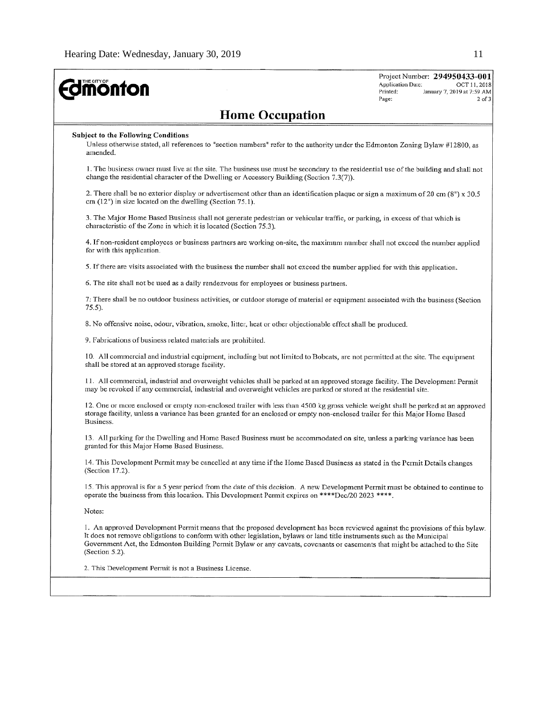| <b>difficing</b>                                                                                                                                                                                                                                                                                                                                                                                               | Project Number: 294950433-001<br>Application Date:<br>OCT 11, 2018<br>Printed:<br>January 7, 2019 at 7:59 AM<br>Page:<br>$2$ of $3$ |
|----------------------------------------------------------------------------------------------------------------------------------------------------------------------------------------------------------------------------------------------------------------------------------------------------------------------------------------------------------------------------------------------------------------|-------------------------------------------------------------------------------------------------------------------------------------|
| <b>Home Occupation</b>                                                                                                                                                                                                                                                                                                                                                                                         |                                                                                                                                     |
| <b>Subject to the Following Conditions</b><br>Unless otherwise stated, all references to "section numbers" refer to the authority under the Edmonton Zoning Bylaw #12800, as<br>amended.                                                                                                                                                                                                                       |                                                                                                                                     |
| 1. The business owner must live at the site. The business use must be secondary to the residential use of the building and shall not<br>change the residential character of the Dwelling or Accessory Building (Section 7.3(7)).                                                                                                                                                                               |                                                                                                                                     |
| 2. There shall be no exterior display or advertisement other than an identification plaque or sign a maximum of 20 cm $(8n) \times 30.5$<br>cm $(12n)$ in size located on the dwelling (Section 75.1).                                                                                                                                                                                                         |                                                                                                                                     |
| 3. The Major Home Based Business shall not generate pedestrian or vehicular traffic, or parking, in excess of that which is<br>characteristic of the Zone in which it is located (Section 75.3).                                                                                                                                                                                                               |                                                                                                                                     |
| 4. If non-resident employees or business partners are working on-site, the maximum number shall not exceed the number applied<br>for with this application.                                                                                                                                                                                                                                                    |                                                                                                                                     |
| 5. If there are visits associated with the business the number shall not exceed the number applied for with this application.                                                                                                                                                                                                                                                                                  |                                                                                                                                     |
| 6. The site shall not be used as a daily rendezvous for employees or business partners.                                                                                                                                                                                                                                                                                                                        |                                                                                                                                     |
| 7. There shall be no outdoor business activities, or outdoor storage of material or equipment associated with the business (Section<br>$75.5$ ).                                                                                                                                                                                                                                                               |                                                                                                                                     |
| 8. No offensive noise, odour, vibration, smoke, litter, heat or other objectionable effect shall be produced.                                                                                                                                                                                                                                                                                                  |                                                                                                                                     |
| 9. Fabrications of business related materials are prohibited.                                                                                                                                                                                                                                                                                                                                                  |                                                                                                                                     |
| 10. All commercial and industrial equipment, including but not limited to Bobcats, are not permitted at the site. The equipment<br>shall be stored at an approved storage facility.                                                                                                                                                                                                                            |                                                                                                                                     |
| 11. All commercial, industrial and overweight vehicles shall be parked at an approved storage facility. The Development Permit<br>may be revoked if any commercial, industrial and overweight vehicles are parked or stored at the residential site.                                                                                                                                                           |                                                                                                                                     |
| 12. One or more enclosed or empty non-enclosed trailer with less than 4500 kg gross vehicle weight shall be parked at an approved<br>storage facility, unless a variance has been granted for an enclosed or empty non-enclosed trailer for this Major Home Based<br>Business.                                                                                                                                 |                                                                                                                                     |
| 13. All parking for the Dwelling and Home Based Business must be accommodated on site, unless a parking variance has been<br>granted for this Major Home Based Business.                                                                                                                                                                                                                                       |                                                                                                                                     |
| 14. This Development Permit may be cancelled at any time if the Home Based Business as stated in the Permit Details changes<br>(Section 17.2).                                                                                                                                                                                                                                                                 |                                                                                                                                     |
| 15. This approval is for a 5 year period from the date of this decision. A new Development Permit must be obtained to continue to<br>operate the business from this location. This Development Permit expires on ****Dec/20 2023 ****.                                                                                                                                                                         |                                                                                                                                     |
| Notes:                                                                                                                                                                                                                                                                                                                                                                                                         |                                                                                                                                     |
| 1. An approved Development Permit means that the proposed development has been reviewed against the provisions of this bylaw.<br>It does not remove obligations to conform with other legislation, bylaws or land title instruments such as the Municipal<br>Government Act, the Edmonton Building Permit Bylaw or any caveats, covenants or easements that might be attached to the Site<br>(Section $5.2$ ). |                                                                                                                                     |
| 2. This Development Permit is not a Business License.                                                                                                                                                                                                                                                                                                                                                          |                                                                                                                                     |
|                                                                                                                                                                                                                                                                                                                                                                                                                |                                                                                                                                     |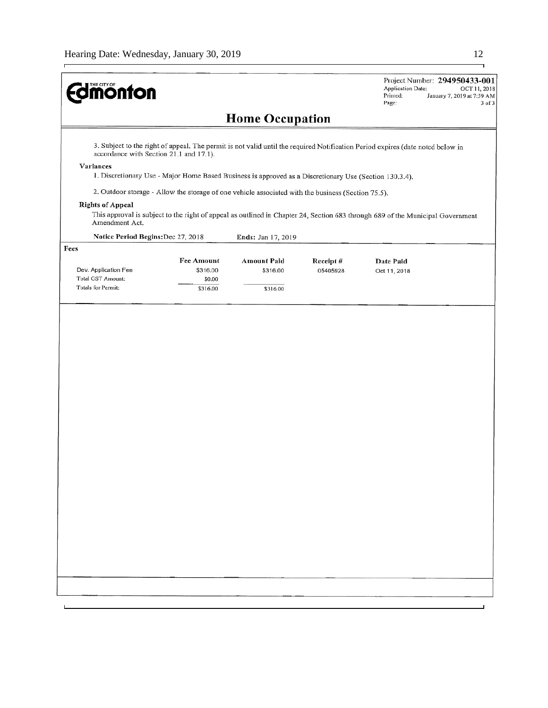$\mathbf{r}$ 

| <b>Imonton</b>                            |                                                                                                        |                                |                      | Project Number: 294950433-001<br>Application Date:<br>OCT 11, 2018<br>Printed:<br>January 7, 2019 at 7:59 AM<br>Page:<br>3 of 3 |
|-------------------------------------------|--------------------------------------------------------------------------------------------------------|--------------------------------|----------------------|---------------------------------------------------------------------------------------------------------------------------------|
|                                           |                                                                                                        | <b>Home Occupation</b>         |                      |                                                                                                                                 |
| accordance with Section 21.1 and 17.1).   |                                                                                                        |                                |                      | 3. Subject to the right of appeal. The permit is not valid until the required Notification Period expires (date noted below in  |
| Variances                                 | 1. Discretionary Use - Major Home Based Business is approved as a Discretionary Use (Section 130.3.4). |                                |                      |                                                                                                                                 |
|                                           | 2. Outdoor storage - Allow the storage of one vehicle associated with the business (Section 75.5).     |                                |                      |                                                                                                                                 |
| <b>Rights of Appeal</b><br>Amendment Act. |                                                                                                        |                                |                      | This approval is subject to the right of appeal as outlined in Chapter 24, Section 683 through 689 of the Municipal Government  |
| Notice Period Begins: Dec 27, 2018        |                                                                                                        | Ends: Jan 17, 2019             |                      |                                                                                                                                 |
| Fees                                      |                                                                                                        |                                |                      |                                                                                                                                 |
| Dev. Application Fee<br>Total GST Amount: | <b>Fee Amount</b><br>\$316.00<br>\$0.00                                                                | <b>Amount Paid</b><br>\$316.00 | Receipt#<br>05405928 | Date Paid<br>Oct 11, 2018                                                                                                       |
| Totals for Permit:                        | \$316.00                                                                                               | \$316.00                       |                      |                                                                                                                                 |
|                                           |                                                                                                        |                                |                      |                                                                                                                                 |
|                                           |                                                                                                        |                                |                      |                                                                                                                                 |
|                                           |                                                                                                        |                                |                      |                                                                                                                                 |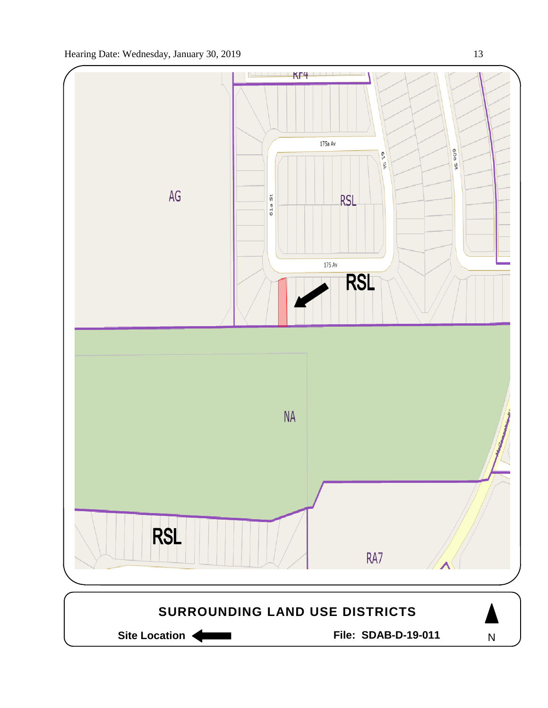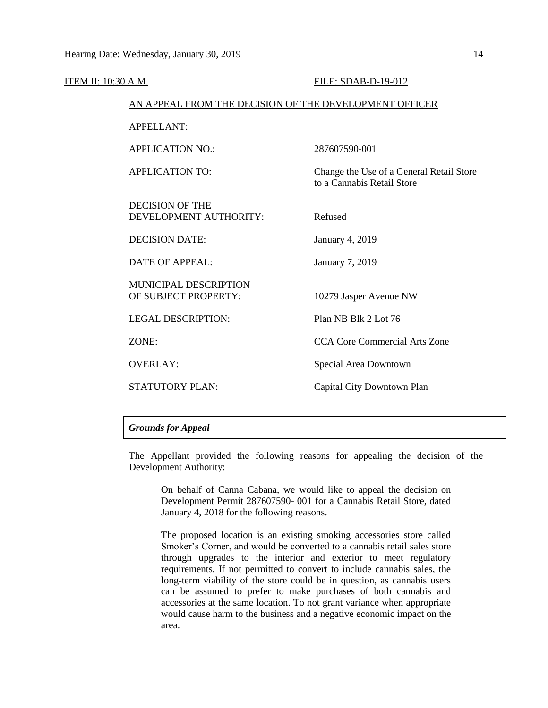| <b>ITEM II: 10:30 A.M.</b> |                                                        | FILE: SDAB-D-19-012                                                    |  |  |
|----------------------------|--------------------------------------------------------|------------------------------------------------------------------------|--|--|
|                            | AN APPEAL FROM THE DECISION OF THE DEVELOPMENT OFFICER |                                                                        |  |  |
|                            | <b>APPELLANT:</b>                                      |                                                                        |  |  |
|                            | <b>APPLICATION NO.:</b>                                | 287607590-001                                                          |  |  |
|                            | <b>APPLICATION TO:</b>                                 | Change the Use of a General Retail Store<br>to a Cannabis Retail Store |  |  |
|                            | <b>DECISION OF THE</b><br>DEVELOPMENT AUTHORITY:       | Refused                                                                |  |  |
|                            | <b>DECISION DATE:</b>                                  | <b>January 4, 2019</b>                                                 |  |  |
|                            | <b>DATE OF APPEAL:</b>                                 | January 7, 2019                                                        |  |  |
|                            | MUNICIPAL DESCRIPTION<br>OF SUBJECT PROPERTY:          | 10279 Jasper Avenue NW                                                 |  |  |
|                            | <b>LEGAL DESCRIPTION:</b>                              | Plan NB Blk 2 Lot 76                                                   |  |  |
|                            | ZONE:                                                  | <b>CCA Core Commercial Arts Zone</b>                                   |  |  |
|                            | <b>OVERLAY:</b>                                        | Special Area Downtown                                                  |  |  |
|                            | STATUTORY PLAN:                                        | Capital City Downtown Plan                                             |  |  |
|                            |                                                        |                                                                        |  |  |

# *Grounds for Appeal*

The Appellant provided the following reasons for appealing the decision of the Development Authority:

On behalf of Canna Cabana, we would like to appeal the decision on Development Permit 287607590- 001 for a Cannabis Retail Store, dated January 4, 2018 for the following reasons.

The proposed location is an existing smoking accessories store called Smoker's Corner, and would be converted to a cannabis retail sales store through upgrades to the interior and exterior to meet regulatory requirements. If not permitted to convert to include cannabis sales, the long-term viability of the store could be in question, as cannabis users can be assumed to prefer to make purchases of both cannabis and accessories at the same location. To not grant variance when appropriate would cause harm to the business and a negative economic impact on the area.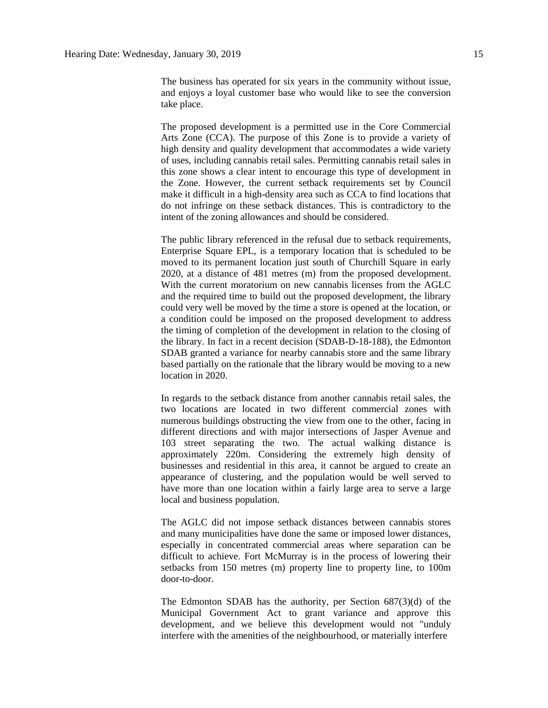The business has operated for six years in the community without issue, and enjoys a loyal customer base who would like to see the conversion take place.

The proposed development is a permitted use in the Core Commercial Arts Zone (CCA). The purpose of this Zone is to provide a variety of high density and quality development that accommodates a wide variety of uses, including cannabis retail sales. Permitting cannabis retail sales in this zone shows a clear intent to encourage this type of development in the Zone. However, the current setback requirements set by Council make it difficult in a high-density area such as CCA to find locations that do not infringe on these setback distances. This is contradictory to the intent of the zoning allowances and should be considered.

The public library referenced in the refusal due to setback requirements, Enterprise Square EPL, is a temporary location that is scheduled to be moved to its permanent location just south of Churchill Square in early 2020, at a distance of 481 metres (m) from the proposed development. With the current moratorium on new cannabis licenses from the AGLC and the required time to build out the proposed development, the library could very well be moved by the time a store is opened at the location, or a condition could be imposed on the proposed development to address the timing of completion of the development in relation to the closing of the library. In fact in a recent decision (SDAB-D-18-188), the Edmonton SDAB granted a variance for nearby cannabis store and the same library based partially on the rationale that the library would be moving to a new location in 2020.

In regards to the setback distance from another cannabis retail sales, the two locations are located in two different commercial zones with numerous buildings obstructing the view from one to the other, facing in different directions and with major intersections of Jasper Avenue and 103 street separating the two. The actual walking distance is approximately 220m. Considering the extremely high density of businesses and residential in this area, it cannot be argued to create an appearance of clustering, and the population would be well served to have more than one location within a fairly large area to serve a large local and business population.

The AGLC did not impose setback distances between cannabis stores and many municipalities have done the same or imposed lower distances, especially in concentrated commercial areas where separation can be difficult to achieve. Fort McMurray is in the process of lowering their setbacks from 150 metres (m) property line to property line, to 100m door-to-door.

The Edmonton SDAB has the authority, per Section 687(3)(d) of the Municipal Government Act to grant variance and approve this development, and we believe this development would not "unduly interfere with the amenities of the neighbourhood, or materially interfere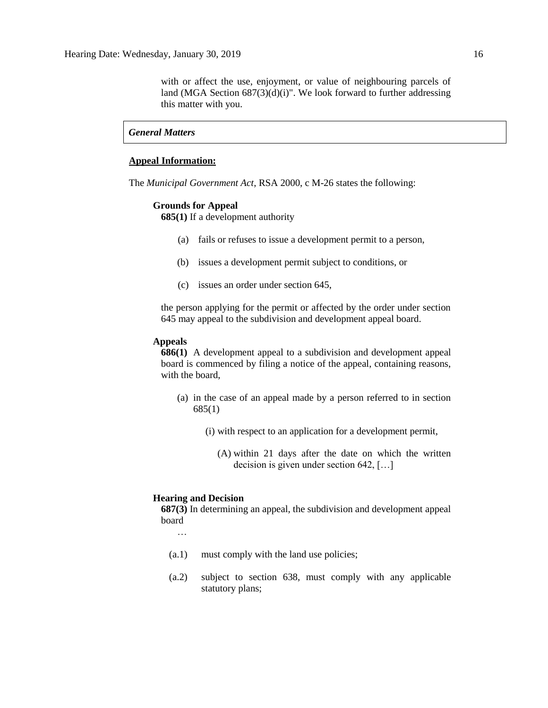with or affect the use, enjoyment, or value of neighbouring parcels of land (MGA Section  $687(3)(d)(i)$ ". We look forward to further addressing this matter with you.

# *General Matters*

#### **Appeal Information:**

The *Municipal Government Act*, RSA 2000, c M-26 states the following:

### **Grounds for Appeal**

**685(1)** If a development authority

- (a) fails or refuses to issue a development permit to a person,
- (b) issues a development permit subject to conditions, or
- (c) issues an order under section 645,

the person applying for the permit or affected by the order under section 645 may appeal to the subdivision and development appeal board.

#### **Appeals**

**686(1)** A development appeal to a subdivision and development appeal board is commenced by filing a notice of the appeal, containing reasons, with the board,

- (a) in the case of an appeal made by a person referred to in section 685(1)
	- (i) with respect to an application for a development permit,
		- (A) within 21 days after the date on which the written decision is given under section 642, […]

#### **Hearing and Decision**

**687(3)** In determining an appeal, the subdivision and development appeal board

…

- (a.1) must comply with the land use policies;
- (a.2) subject to section 638, must comply with any applicable statutory plans;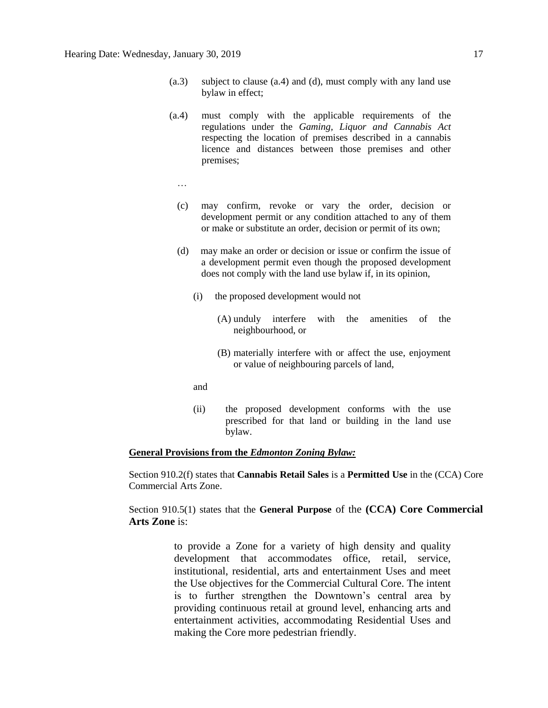- (a.3) subject to clause (a.4) and (d), must comply with any land use bylaw in effect;
- (a.4) must comply with the applicable requirements of the regulations under the *Gaming, Liquor and Cannabis Act* respecting the location of premises described in a cannabis licence and distances between those premises and other premises;
	- …
	- (c) may confirm, revoke or vary the order, decision or development permit or any condition attached to any of them or make or substitute an order, decision or permit of its own;
	- (d) may make an order or decision or issue or confirm the issue of a development permit even though the proposed development does not comply with the land use bylaw if, in its opinion,
		- (i) the proposed development would not
			- (A) unduly interfere with the amenities of the neighbourhood, or
			- (B) materially interfere with or affect the use, enjoyment or value of neighbouring parcels of land,
		- and
		- (ii) the proposed development conforms with the use prescribed for that land or building in the land use bylaw.

# **General Provisions from the** *Edmonton Zoning Bylaw:*

Section 910.2(f) states that **Cannabis Retail Sales** is a **Permitted Use** in the (CCA) Core Commercial Arts Zone.

Section 910.5(1) states that the **General Purpose** of the **(CCA) Core Commercial Arts Zone** is:

> to provide a Zone for a variety of high density and quality development that accommodates office, retail, service, institutional, residential, arts and entertainment Uses and meet the Use objectives for the Commercial Cultural Core. The intent is to further strengthen the Downtown's central area by providing continuous retail at ground level, enhancing arts and entertainment activities, accommodating Residential Uses and making the Core more pedestrian friendly.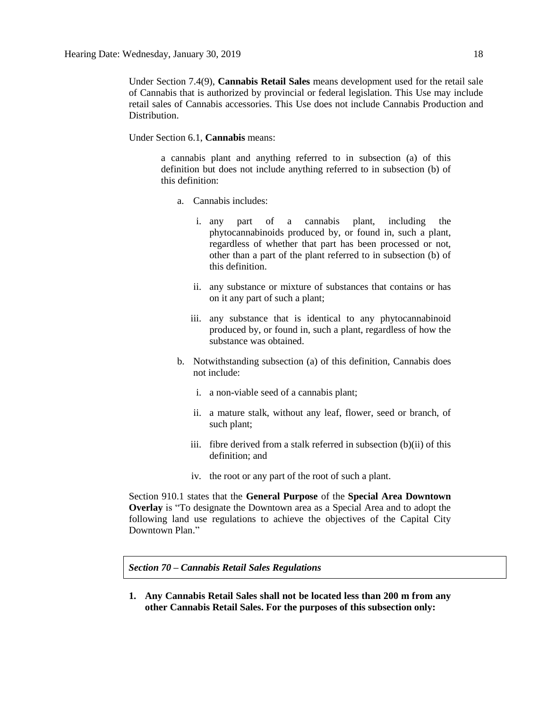Under Section 7.4(9), **Cannabis Retail Sales** means development used for the retail sale of Cannabis that is authorized by provincial or federal legislation. This Use may include retail sales of Cannabis accessories. This Use does not include Cannabis Production and Distribution.

Under Section 6.1, **Cannabis** means:

a cannabis plant and anything referred to in subsection (a) of this definition but does not include anything referred to in subsection (b) of this definition:

- a. Cannabis includes:
	- i. any part of a cannabis plant, including the phytocannabinoids produced by, or found in, such a plant, regardless of whether that part has been processed or not, other than a part of the plant referred to in subsection (b) of this definition.
	- ii. any substance or mixture of substances that contains or has on it any part of such a plant;
	- iii. any substance that is identical to any phytocannabinoid produced by, or found in, such a plant, regardless of how the substance was obtained.
- b. Notwithstanding subsection (a) of this definition, Cannabis does not include:
	- i. a non-viable seed of a cannabis plant;
	- ii. a mature stalk, without any leaf, flower, seed or branch, of such plant;
	- iii. fibre derived from a stalk referred in subsection (b)(ii) of this definition; and
	- iv. the root or any part of the root of such a plant.

Section 910.1 states that the **General Purpose** of the **Special Area Downtown Overlay** is "To designate the Downtown area as a Special Area and to adopt the following land use regulations to achieve the objectives of the Capital City Downtown Plan."

*Section 70 – Cannabis Retail Sales Regulations* 

**1. Any Cannabis Retail Sales shall not be located less than 200 m from any other Cannabis Retail Sales. For the purposes of this subsection only:**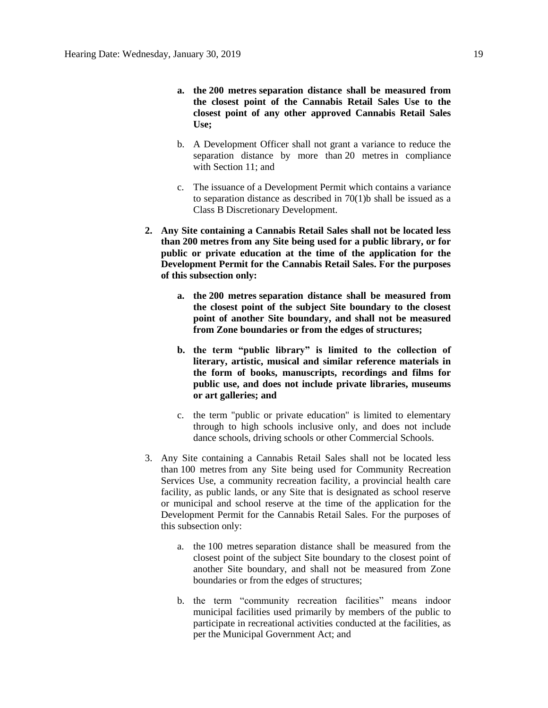- **a. the [200 me](javascript:void(0);)tres separation distance shall be measured from the closest point of the Cannabis Retail Sales Use to the closest point of any other approved Cannabis Retail Sales Use;**
- b. A Development Officer shall not grant a variance to reduce the separation distance by more than [20 me](javascript:void(0);)tres in compliance with [Section 11;](https://webdocs.edmonton.ca/InfraPlan/zoningbylaw/ZoningBylaw/Part1/Administrative/11__Authority_and_Responsibility_of_the_Development_Officer.htm) and
- c. The issuance of a Development Permit which contains a variance to separation distance as described in  $70(1)$ b shall be issued as a Class B Discretionary Development.
- **2. Any Site containing a Cannabis Retail Sales shall not be located less than [200 me](javascript:void(0);)tres from any Site being used for a public library, or for public or private education at the time of the application for the Development Permit for the Cannabis Retail Sales. For the purposes of this subsection only:**
	- **a. the [200 me](javascript:void(0);)tres separation distance shall be measured from the closest point of the subject Site boundary to the closest point of another Site boundary, and shall not be measured from Zone boundaries or from the edges of structures;**
	- **b. the term "public library" is limited to the collection of literary, artistic, musical and similar reference materials in the form of books, manuscripts, recordings and films for public use, and does not include private libraries, museums or art galleries; and**
	- c. the term "public or private education" is limited to elementary through to high schools inclusive only, and does not include dance schools, driving schools or other Commercial Schools.
- 3. Any Site containing a Cannabis Retail Sales shall not be located less than [100 me](javascript:void(0);)tres from any Site being used for Community Recreation Services Use, a community recreation facility, a provincial health care facility, as public lands, or any Site that is designated as school reserve or municipal and school reserve at the time of the application for the Development Permit for the Cannabis Retail Sales. For the purposes of this subsection only:
	- a. the [100 me](javascript:void(0);)tres separation distance shall be measured from the closest point of the subject Site boundary to the closest point of another Site boundary, and shall not be measured from Zone boundaries or from the edges of structures;
	- b. the term "community recreation facilities" means indoor municipal facilities used primarily by members of the public to participate in recreational activities conducted at the facilities, as per the Municipal Government Act; and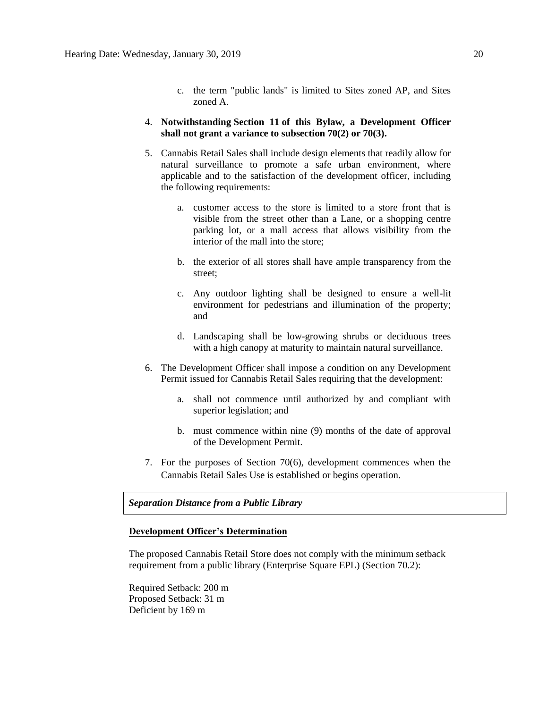- c. the term "public lands" is limited to Sites zoned AP, and Sites zoned A.
- 4. **Notwithstanding [Section 11](https://webdocs.edmonton.ca/InfraPlan/zoningbylaw/ZoningBylaw/Part1/Administrative/11__Authority_and_Responsibility_of_the_Development_Officer.htm) of this Bylaw, a Development Officer shall not grant a variance to subsection 70(2) or 70(3).**
- 5. Cannabis Retail Sales shall include design elements that readily allow for natural surveillance to promote a safe urban environment, where applicable and to the satisfaction of the development officer, including the following requirements:
	- a. customer access to the store is limited to a store front that is visible from the street other than a Lane, or a shopping centre parking lot, or a mall access that allows visibility from the interior of the mall into the store;
	- b. the exterior of all stores shall have ample transparency from the street;
	- c. Any outdoor lighting shall be designed to ensure a well-lit environment for pedestrians and illumination of the property; and
	- d. Landscaping shall be low-growing shrubs or deciduous trees with a high canopy at maturity to maintain natural surveillance.
- 6. The Development Officer shall impose a condition on any Development Permit issued for Cannabis Retail Sales requiring that the development:
	- a. shall not commence until authorized by and compliant with superior legislation; and
	- b. must commence within nine (9) months of the date of approval of the Development Permit.
- 7. For the purposes of Section 70(6), development commences when the Cannabis Retail Sales Use is established or begins operation.

# *Separation Distance from a Public Library*

### **Development Officer's Determination**

The proposed Cannabis Retail Store does not comply with the minimum setback requirement from a public library (Enterprise Square EPL) (Section 70.2):

Required Setback: 200 m Proposed Setback: 31 m Deficient by 169 m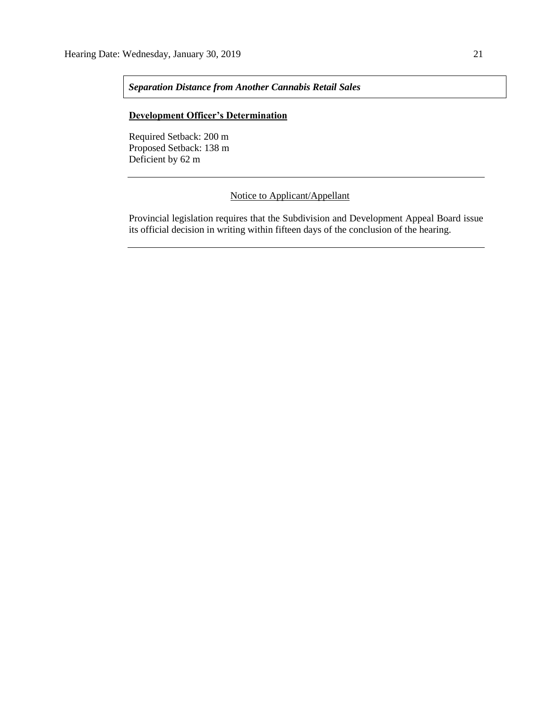*Separation Distance from Another Cannabis Retail Sales*

# **Development Officer's Determination**

Required Setback: 200 m Proposed Setback: 138 m Deficient by 62 m

# Notice to Applicant/Appellant

Provincial legislation requires that the Subdivision and Development Appeal Board issue its official decision in writing within fifteen days of the conclusion of the hearing.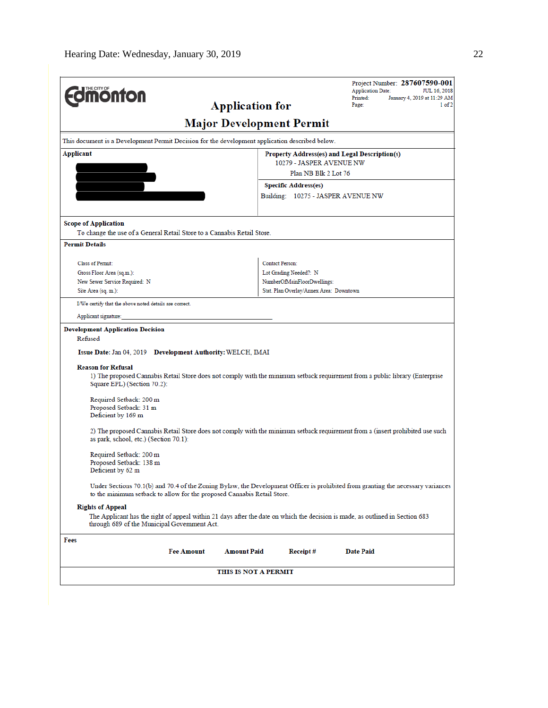| <b>Onton</b><br><b>Application for</b>                                                                                                                                                                      | Project Number: 287607590-001<br><b>Application Date:</b><br>JUL 16, 2018<br>Printed:<br>January 4, 2019 at 11:29 AM<br>$1$ of $2$<br>Page: |  |  |  |  |
|-------------------------------------------------------------------------------------------------------------------------------------------------------------------------------------------------------------|---------------------------------------------------------------------------------------------------------------------------------------------|--|--|--|--|
| <b>Major Development Permit</b>                                                                                                                                                                             |                                                                                                                                             |  |  |  |  |
| This document is a Development Permit Decision for the development application described below.                                                                                                             |                                                                                                                                             |  |  |  |  |
| Applicant<br>Property Address(es) and Legal Description(s)                                                                                                                                                  |                                                                                                                                             |  |  |  |  |
| 10279 - JASPER AVENUE NW                                                                                                                                                                                    |                                                                                                                                             |  |  |  |  |
| Plan NB Blk 2 Lot 76                                                                                                                                                                                        |                                                                                                                                             |  |  |  |  |
|                                                                                                                                                                                                             | <b>Specific Address(es)</b>                                                                                                                 |  |  |  |  |
|                                                                                                                                                                                                             | Building: 10275 - JASPER AVENUE NW                                                                                                          |  |  |  |  |
| <b>Scope of Application</b>                                                                                                                                                                                 |                                                                                                                                             |  |  |  |  |
| To change the use of a General Retail Store to a Cannabis Retail Store.                                                                                                                                     |                                                                                                                                             |  |  |  |  |
| <b>Permit Details</b>                                                                                                                                                                                       |                                                                                                                                             |  |  |  |  |
| Class of Permit:                                                                                                                                                                                            | <b>Contact Person:</b>                                                                                                                      |  |  |  |  |
| Gross Floor Area (sq.m.):                                                                                                                                                                                   | Lot Grading Needed?: N                                                                                                                      |  |  |  |  |
| New Sewer Service Required: N                                                                                                                                                                               | NumberOfMainFloorDwellings:                                                                                                                 |  |  |  |  |
| Site Area (sq. m.):                                                                                                                                                                                         | Stat. Plan Overlay/Annex Area: Downtown                                                                                                     |  |  |  |  |
| I/We certify that the above noted details are correct.                                                                                                                                                      |                                                                                                                                             |  |  |  |  |
| Applicant signature:                                                                                                                                                                                        |                                                                                                                                             |  |  |  |  |
| <b>Development Application Decision</b><br>Refused<br>Issue Date: Jan 04, 2019 Development Authority: WELCH, IMAI                                                                                           |                                                                                                                                             |  |  |  |  |
| <b>Reason for Refusal</b><br>1) The proposed Cannabis Retail Store does not comply with the minimum setback requirement from a public library (Enterprise<br>Square EPL) (Section 70.2):                    |                                                                                                                                             |  |  |  |  |
| Required Setback: 200 m<br>Proposed Setback: 31 m<br>Deficient by 169 m                                                                                                                                     |                                                                                                                                             |  |  |  |  |
| 2) The proposed Cannabis Retail Store does not comply with the minimum setback requirement from a (insert prohibited use such<br>as park, school, etc.) (Section 70.1):                                     |                                                                                                                                             |  |  |  |  |
| Required Setback: 200 m<br>Proposed Setback: 138 m<br>Deficient by 62 m                                                                                                                                     |                                                                                                                                             |  |  |  |  |
| Under Sections 70.1(b) and 70.4 of the Zoning Bylaw, the Development Officer is prohibited from granting the necessary variances<br>to the minimum setback to allow for the proposed Cannabis Retail Store. |                                                                                                                                             |  |  |  |  |
| <b>Rights of Appeal</b><br>The Applicant has the right of appeal within 21 days after the date on which the decision is made, as outlined in Section 683<br>through 689 of the Municipal Government Act.    |                                                                                                                                             |  |  |  |  |
| Fees                                                                                                                                                                                                        |                                                                                                                                             |  |  |  |  |
| <b>Fee Amount</b><br><b>Amount Paid</b>                                                                                                                                                                     | Receipt#<br>Date Paid                                                                                                                       |  |  |  |  |
| THIS IS NOT A PERMIT                                                                                                                                                                                        |                                                                                                                                             |  |  |  |  |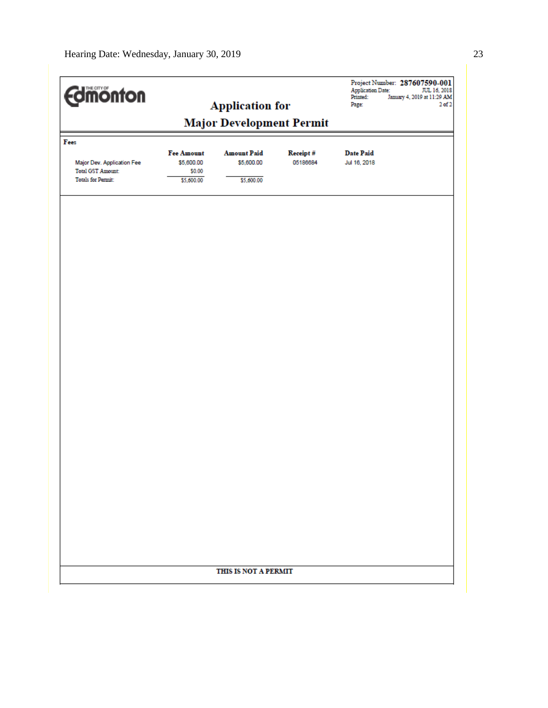| <b>Edinonton</b>                                                                    |                                                         | <b>Application for</b>                         |                      | <b>Application Date:</b><br>Printed:<br>Page: | Project Number: 287607590-001<br>JUL 16, 2018<br>January 4, 2019 at 11:29 AM<br>$2$ of $2$ |  |
|-------------------------------------------------------------------------------------|---------------------------------------------------------|------------------------------------------------|----------------------|-----------------------------------------------|--------------------------------------------------------------------------------------------|--|
|                                                                                     | <b>Major Development Permit</b>                         |                                                |                      |                                               |                                                                                            |  |
| Fees                                                                                |                                                         |                                                |                      |                                               |                                                                                            |  |
| Major Dev. Application Fee<br><b>Total GST Amount:</b><br><b>Totals for Permit:</b> | <b>Fee Amount</b><br>\$5,600.00<br>\$0.00<br>\$5,600.00 | <b>Amount Paid</b><br>\$5,600.00<br>\$5,600.00 | Receipt#<br>05186684 | <b>Date Paid</b><br>Jul 16, 2018              |                                                                                            |  |
|                                                                                     |                                                         |                                                |                      |                                               |                                                                                            |  |
|                                                                                     |                                                         |                                                |                      |                                               |                                                                                            |  |
|                                                                                     |                                                         |                                                |                      |                                               |                                                                                            |  |
|                                                                                     |                                                         |                                                |                      |                                               |                                                                                            |  |
|                                                                                     |                                                         |                                                |                      |                                               |                                                                                            |  |
|                                                                                     |                                                         |                                                |                      |                                               |                                                                                            |  |
|                                                                                     |                                                         |                                                |                      |                                               |                                                                                            |  |
|                                                                                     |                                                         |                                                |                      |                                               |                                                                                            |  |
|                                                                                     |                                                         |                                                |                      |                                               |                                                                                            |  |
|                                                                                     |                                                         |                                                |                      |                                               |                                                                                            |  |
|                                                                                     |                                                         |                                                |                      |                                               |                                                                                            |  |
|                                                                                     |                                                         |                                                |                      |                                               |                                                                                            |  |
|                                                                                     |                                                         |                                                |                      |                                               |                                                                                            |  |
|                                                                                     |                                                         | THIS IS NOT A PERMIT                           |                      |                                               |                                                                                            |  |